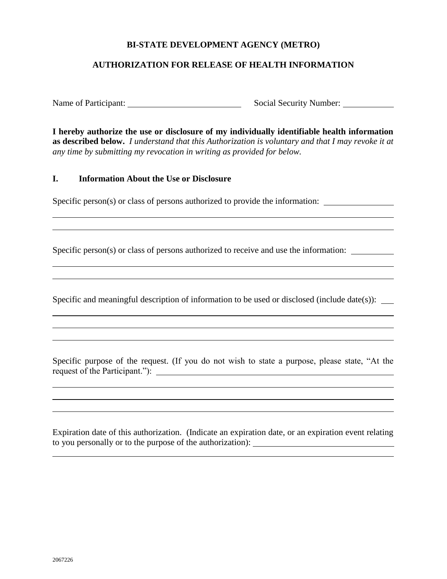# **BI-STATE DEVELOPMENT AGENCY (METRO)**

### **AUTHORIZATION FOR RELEASE OF HEALTH INFORMATION**

Name of Participant: Social Security Number:

**I hereby authorize the use or disclosure of my individually identifiable health information as described below.** *I understand that this Authorization is voluntary and that I may revoke it at any time by submitting my revocation in writing as provided for below.*

#### **I. Information About the Use or Disclosure**

Specific person(s) or class of persons authorized to provide the information:

Specific person(s) or class of persons authorized to receive and use the information:

Specific and meaningful description of information to be used or disclosed (include date(s)):

Specific purpose of the request. (If you do not wish to state a purpose, please state, "At the request of the Participant."):

Expiration date of this authorization. (Indicate an expiration date, or an expiration event relating to you personally or to the purpose of the authorization):